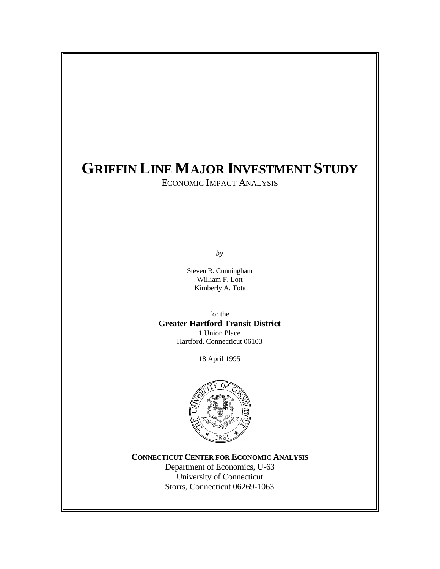# **GRIFFIN LINE MAJOR INVESTMENT STUDY**

ECONOMIC IMPACT ANALYSIS

*by*

Steven R. Cunningham William F. Lott Kimberly A. Tota

for the **Greater Hartford Transit District** 1 Union Place Hartford, Connecticut 06103

18 April 1995



**CONNECTICUT CENTER FOR ECONOMIC ANALYSIS**

Department of Economics, U-63 University of Connecticut Storrs, Connecticut 06269-1063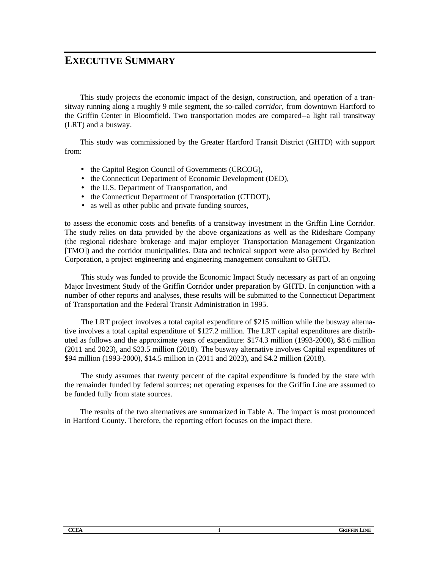## **EXECUTIVE SUMMARY**

This study projects the economic impact of the design, construction, and operation of a transitway running along a roughly 9 mile segment, the so-called *corridor*, from downtown Hartford to the Griffin Center in Bloomfield. Two transportation modes are compared--a light rail transitway (LRT) and a busway.

This study was commissioned by the Greater Hartford Transit District (GHTD) with support from:

- the Capitol Region Council of Governments (CRCOG),
- the Connecticut Department of Economic Development (DED),
- the U.S. Department of Transportation, and
- the Connecticut Department of Transportation (CTDOT),
- as well as other public and private funding sources,

to assess the economic costs and benefits of a transitway investment in the Griffin Line Corridor. The study relies on data provided by the above organizations as well as the Rideshare Company (the regional rideshare brokerage and major employer Transportation Management Organization [TMO]) and the corridor municipalities. Data and technical support were also provided by Bechtel Corporation, a project engineering and engineering management consultant to GHTD.

This study was funded to provide the Economic Impact Study necessary as part of an ongoing Major Investment Study of the Griffin Corridor under preparation by GHTD. In conjunction with a number of other reports and analyses, these results will be submitted to the Connecticut Department of Transportation and the Federal Transit Administration in 1995.

The LRT project involves a total capital expenditure of \$215 million while the busway alternative involves a total capital expenditure of \$127.2 million. The LRT capital expenditures are distributed as follows and the approximate years of expenditure: \$174.3 million (1993-2000), \$8.6 million (2011 and 2023), and \$23.5 million (2018). The busway alternative involves Capital expenditures of \$94 million (1993-2000), \$14.5 million in (2011 and 2023), and \$4.2 million (2018).

The study assumes that twenty percent of the capital expenditure is funded by the state with the remainder funded by federal sources; net operating expenses for the Griffin Line are assumed to be funded fully from state sources.

The results of the two alternatives are summarized in Table A. The impact is most pronounced in Hartford County. Therefore, the reporting effort focuses on the impact there.

| <b>CCEA</b><br><b>GRIFFIN LINE</b><br>_ _ _<br>the contract of the contract of the contract of |
|------------------------------------------------------------------------------------------------|
|------------------------------------------------------------------------------------------------|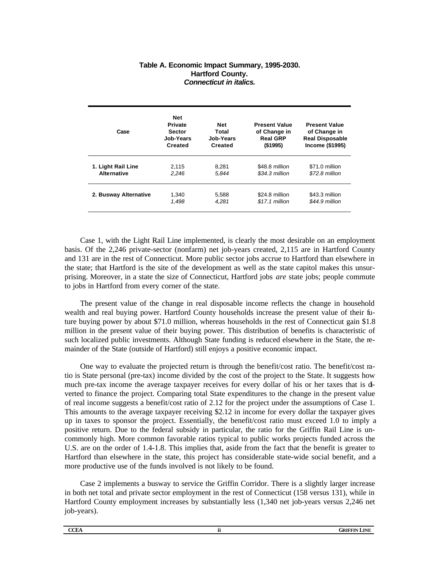#### **Table A. Economic Impact Summary, 1995-2030. Hartford County.** *Connecticut in italics.*

| Case                  | Net<br><b>Private</b><br><b>Sector</b><br>Job-Years<br><b>Created</b> | <b>Net</b><br>Total<br>Job-Years<br><b>Created</b> | <b>Present Value</b><br>of Change in<br><b>Real GRP</b><br>(\$1995) | <b>Present Value</b><br>of Change in<br><b>Real Disposable</b><br>Income (\$1995) |
|-----------------------|-----------------------------------------------------------------------|----------------------------------------------------|---------------------------------------------------------------------|-----------------------------------------------------------------------------------|
| 1. Light Rail Line    | 2,115                                                                 | 8.281                                              | \$48.8 million                                                      | \$71.0 million                                                                    |
| <b>Alternative</b>    | 2.246                                                                 | 5.844                                              | \$34.3 million                                                      | \$72.8 million                                                                    |
| 2. Busway Alternative | 1,340                                                                 | 5,588                                              | \$24.8 million                                                      | \$43.3 million                                                                    |
|                       | 1.498                                                                 | 4.281                                              | $$17.1$ million                                                     | \$44.9 million                                                                    |

Case 1, with the Light Rail Line implemented, is clearly the most desirable on an employment basis. Of the 2,246 private-sector (nonfarm) net job-years created, 2,115 are in Hartford County and 131 are in the rest of Connecticut. More public sector jobs accrue to Hartford than elsewhere in the state; that Hartford is the site of the development as well as the state capitol makes this unsurprising. Moreover, in a state the size of Connecticut, Hartford jobs *are* state jobs; people commute to jobs in Hartford from every corner of the state.

The present value of the change in real disposable income reflects the change in household wealth and real buying power. Hartford County households increase the present value of their future buying power by about \$71.0 million, whereas households in the rest of Connecticut gain \$1.8 million in the present value of their buying power. This distribution of benefits is characteristic of such localized public investments. Although State funding is reduced elsewhere in the State, the remainder of the State (outside of Hartford) still enjoys a positive economic impact.

One way to evaluate the projected return is through the benefit/cost ratio. The benefit/cost ratio is State personal (pre-tax) income divided by the cost of the project to the State. It suggests how much pre-tax income the average taxpayer receives for every dollar of his or her taxes that is diverted to finance the project. Comparing total State expenditures to the change in the present value of real income suggests a benefit/cost ratio of 2.12 for the project under the assumptions of Case 1. This amounts to the average taxpayer receiving \$2.12 in income for every dollar the taxpayer gives up in taxes to sponsor the project. Essentially, the benefit/cost ratio must exceed 1.0 to imply a positive return. Due to the federal subsidy in particular, the ratio for the Griffin Rail Line is uncommonly high. More common favorable ratios typical to public works projects funded across the U.S. are on the order of 1.4-1.8. This implies that, aside from the fact that the benefit is greater to Hartford than elsewhere in the state, this project has considerable state-wide social benefit, and a more productive use of the funds involved is not likely to be found.

Case 2 implements a busway to service the Griffin Corridor. There is a slightly larger increase in both net total and private sector employment in the rest of Connecticut (158 versus 131), while in Hartford County employment increases by substantially less (1,340 net job-years versus 2,246 net job-years).

| <b>COT</b><br>UULA.<br>__ | . החי<br>.<br>w |
|---------------------------|-----------------|
|                           |                 |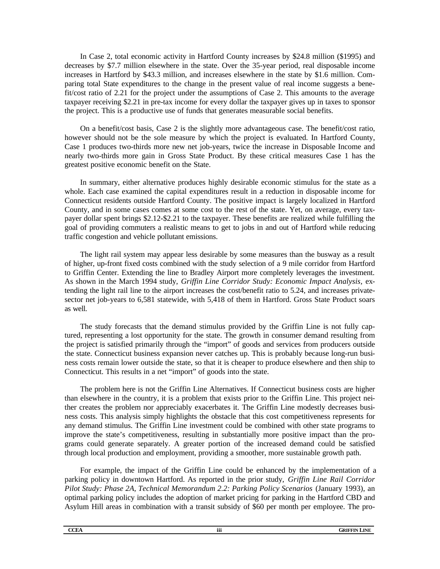In Case 2, total economic activity in Hartford County increases by \$24.8 million (\$1995) and decreases by \$7.7 million elsewhere in the state. Over the 35-year period, real disposable income increases in Hartford by \$43.3 million, and increases elsewhere in the state by \$1.6 million. Comparing total State expenditures to the change in the present value of real income suggests a benefit/cost ratio of 2.21 for the project under the assumptions of Case 2. This amounts to the average taxpayer receiving \$2.21 in pre-tax income for every dollar the taxpayer gives up in taxes to sponsor the project. This is a productive use of funds that generates measurable social benefits.

On a benefit/cost basis, Case 2 is the slightly more advantageous case. The benefit/cost ratio, however should not be the sole measure by which the project is evaluated. In Hartford County, Case 1 produces two-thirds more new net job-years, twice the increase in Disposable Income and nearly two-thirds more gain in Gross State Product. By these critical measures Case 1 has the greatest positive economic benefit on the State.

In summary, either alternative produces highly desirable economic stimulus for the state as a whole. Each case examined the capital expenditures result in a reduction in disposable income for Connecticut residents outside Hartford County. The positive impact is largely localized in Hartford County, and in some cases comes at some cost to the rest of the state. Yet, on average, every taxpayer dollar spent brings \$2.12-\$2.21 to the taxpayer. These benefits are realized while fulfilling the goal of providing commuters a realistic means to get to jobs in and out of Hartford while reducing traffic congestion and vehicle pollutant emissions.

The light rail system may appear less desirable by some measures than the busway as a result of higher, up-front fixed costs combined with the study selection of a 9 mile corridor from Hartford to Griffin Center. Extending the line to Bradley Airport more completely leverages the investment. As shown in the March 1994 study, *Griffin Line Corridor Study: Economic Impact Analysis,* extending the light rail line to the airport increases the cost/benefit ratio to 5.24, and increases privatesector net job-years to 6,581 statewide, with 5,418 of them in Hartford. Gross State Product soars as well.

The study forecasts that the demand stimulus provided by the Griffin Line is not fully captured, representing a lost opportunity for the state. The growth in consumer demand resulting from the project is satisfied primarily through the "import" of goods and services from producers outside the state. Connecticut business expansion never catches up. This is probably because long-run business costs remain lower outside the state, so that it is cheaper to produce elsewhere and then ship to Connecticut. This results in a net "import" of goods into the state.

The problem here is not the Griffin Line Alternatives. If Connecticut business costs are higher than elsewhere in the country, it is a problem that exists prior to the Griffin Line. This project neither creates the problem nor appreciably exacerbates it. The Griffin Line modestly decreases business costs. This analysis simply highlights the obstacle that this cost competitiveness represents for any demand stimulus. The Griffin Line investment could be combined with other state programs to improve the state's competitiveness, resulting in substantially more positive impact than the programs could generate separately. A greater portion of the increased demand could be satisfied through local production and employment, providing a smoother, more sustainable growth path.

For example, the impact of the Griffin Line could be enhanced by the implementation of a parking policy in downtown Hartford. As reported in the prior study, *Griffin Line Rail Corridor Pilot Study: Phase 2A, Technical Memorandum 2.2: Parking Policy Scenarios* (January 1993), an optimal parking policy includes the adoption of market pricing for parking in the Hartford CBD and Asylum Hill areas in combination with a transit subsidy of \$60 per month per employee. The pro-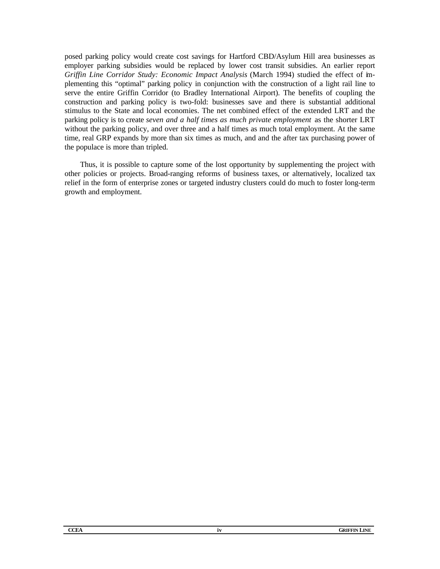posed parking policy would create cost savings for Hartford CBD/Asylum Hill area businesses as employer parking subsidies would be replaced by lower cost transit subsidies. An earlier report *Griffin Line Corridor Study: Economic Impact Analysis* (March 1994) studied the effect of implementing this "optimal" parking policy in conjunction with the construction of a light rail line to serve the entire Griffin Corridor (to Bradley International Airport). The benefits of coupling the construction and parking policy is two-fold: businesses save and there is substantial additional stimulus to the State and local economies. The net combined effect of the extended LRT and the parking policy is to create *seven and a half times as much private employment* as the shorter LRT without the parking policy, and over three and a half times as much total employment. At the same time, real GRP expands by more than six times as much, and and the after tax purchasing power of the populace is more than tripled.

Thus, it is possible to capture some of the lost opportunity by supplementing the project with other policies or projects. Broad-ranging reforms of business taxes, or alternatively, localized tax relief in the form of enterprise zones or targeted industry clusters could do much to foster long-term growth and employment.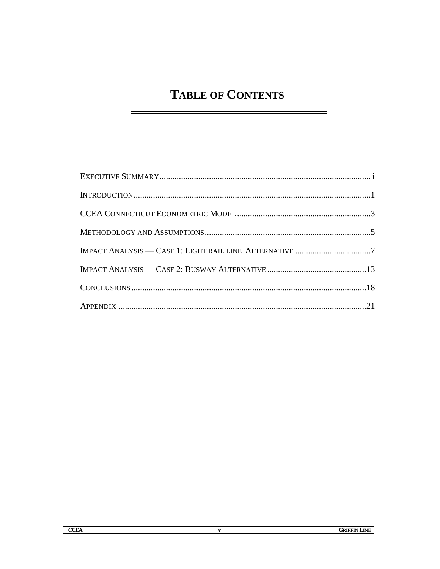# **TABLE OF CONTENTS**

۳

 $\mathbf{v}$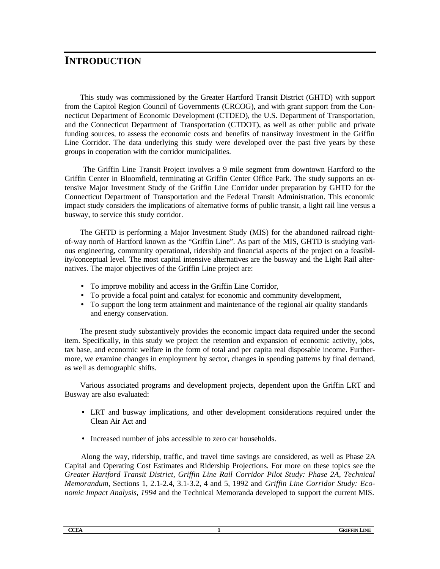## **INTRODUCTION**

This study was commissioned by the Greater Hartford Transit District (GHTD) with support from the Capitol Region Council of Governments (CRCOG), and with grant support from the Connecticut Department of Economic Development (CTDED), the U.S. Department of Transportation, and the Connecticut Department of Transportation (CTDOT), as well as other public and private funding sources, to assess the economic costs and benefits of transitway investment in the Griffin Line Corridor. The data underlying this study were developed over the past five years by these groups in cooperation with the corridor municipalities.

 The Griffin Line Transit Project involves a 9 mile segment from downtown Hartford to the Griffin Center in Bloomfield, terminating at Griffin Center Office Park. The study supports an extensive Major Investment Study of the Griffin Line Corridor under preparation by GHTD for the Connecticut Department of Transportation and the Federal Transit Administration. This economic impact study considers the implications of alternative forms of public transit, a light rail line versus a busway, to service this study corridor.

The GHTD is performing a Major Investment Study (MIS) for the abandoned railroad rightof-way north of Hartford known as the "Griffin Line". As part of the MIS, GHTD is studying various engineering, community operational, ridership and financial aspects of the project on a feasibility/conceptual level. The most capital intensive alternatives are the busway and the Light Rail alternatives. The major objectives of the Griffin Line project are:

- To improve mobility and access in the Griffin Line Corridor,
- To provide a focal point and catalyst for economic and community development,
- To support the long term attainment and maintenance of the regional air quality standards and energy conservation.

The present study substantively provides the economic impact data required under the second item. Specifically, in this study we project the retention and expansion of economic activity, jobs, tax base, and economic welfare in the form of total and per capita real disposable income. Furthermore, we examine changes in employment by sector, changes in spending patterns by final demand, as well as demographic shifts.

Various associated programs and development projects, dependent upon the Griffin LRT and Busway are also evaluated:

- LRT and busway implications, and other development considerations required under the Clean Air Act and
- Increased number of jobs accessible to zero car households.

Along the way, ridership, traffic, and travel time savings are considered, as well as Phase 2A Capital and Operating Cost Estimates and Ridership Projections. For more on these topics see the *Greater Hartford Transit District, Griffin Line Rail Corridor Pilot Study: Phase 2A, Technical Memorandum,* Sections 1, 2.1-2.4, 3.1-3.2, 4 and 5, 1992 and *Griffin Line Corridor Study: Economic Impact Analysis, 1994* and the Technical Memoranda developed to support the current MIS.

| <b>CCEA</b><br>---- | LINE<br>GRIFFIN<br>the contract of the contract of the contract of the contract of the contract of |
|---------------------|----------------------------------------------------------------------------------------------------|
|---------------------|----------------------------------------------------------------------------------------------------|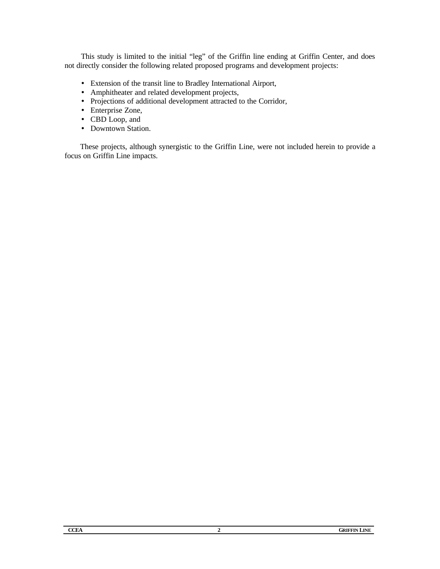This study is limited to the initial "leg" of the Griffin line ending at Griffin Center, and does not directly consider the following related proposed programs and development projects:

- Extension of the transit line to Bradley International Airport,
- Amphitheater and related development projects,
- Projections of additional development attracted to the Corridor,
- Enterprise Zone,
- CBD Loop, and
- Downtown Station.

These projects, although synergistic to the Griffin Line, were not included herein to provide a focus on Griffin Line impacts.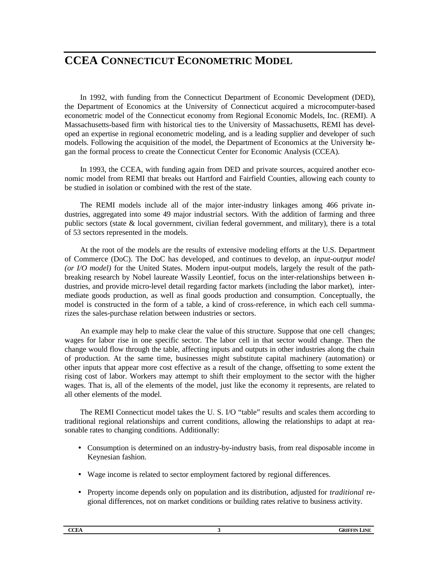## **CCEA CONNECTICUT ECONOMETRIC MODEL**

In 1992, with funding from the Connecticut Department of Economic Development (DED), the Department of Economics at the University of Connecticut acquired a microcomputer-based econometric model of the Connecticut economy from Regional Economic Models, Inc. (REMI). A Massachusetts-based firm with historical ties to the University of Massachusetts, REMI has developed an expertise in regional econometric modeling, and is a leading supplier and developer of such models. Following the acquisition of the model, the Department of Economics at the University began the formal process to create the Connecticut Center for Economic Analysis (CCEA).

In 1993, the CCEA, with funding again from DED and private sources, acquired another economic model from REMI that breaks out Hartford and Fairfield Counties, allowing each county to be studied in isolation or combined with the rest of the state.

The REMI models include all of the major inter-industry linkages among 466 private industries, aggregated into some 49 major industrial sectors. With the addition of farming and three public sectors (state & local government, civilian federal government, and military), there is a total of 53 sectors represented in the models.

At the root of the models are the results of extensive modeling efforts at the U.S. Department of Commerce (DoC). The DoC has developed, and continues to develop, an *input-output model (or I/O model)* for the United States. Modern input-output models, largely the result of the pathbreaking research by Nobel laureate Wassily Leontief, focus on the inter-relationships between industries, and provide micro-level detail regarding factor markets (including the labor market), intermediate goods production, as well as final goods production and consumption. Conceptually, the model is constructed in the form of a table, a kind of cross-reference, in which each cell summarizes the sales-purchase relation between industries or sectors.

An example may help to make clear the value of this structure. Suppose that one cell changes; wages for labor rise in one specific sector. The labor cell in that sector would change. Then the change would flow through the table, affecting inputs and outputs in other industries along the chain of production. At the same time, businesses might substitute capital machinery (automation) or other inputs that appear more cost effective as a result of the change, offsetting to some extent the rising cost of labor. Workers may attempt to shift their employment to the sector with the higher wages. That is, all of the elements of the model, just like the economy it represents, are related to all other elements of the model.

The REMI Connecticut model takes the U. S. I/O "table" results and scales them according to traditional regional relationships and current conditions, allowing the relationships to adapt at reasonable rates to changing conditions. Additionally:

- Consumption is determined on an industry-by-industry basis, from real disposable income in Keynesian fashion.
- Wage income is related to sector employment factored by regional differences.
- Property income depends only on population and its distribution, adjusted for *traditional* regional differences, not on market conditions or building rates relative to business activity.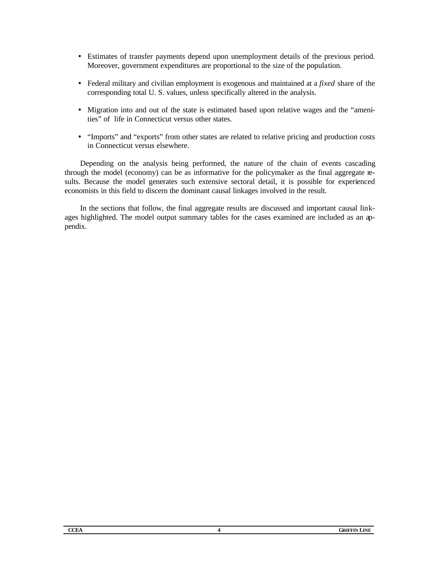- Estimates of transfer payments depend upon unemployment details of the previous period. Moreover, government expenditures are proportional to the size of the population.
- Federal military and civilian employment is exogenous and maintained at a *fixed* share of the corresponding total U. S. values, unless specifically altered in the analysis.
- Migration into and out of the state is estimated based upon relative wages and the "amenities" of life in Connecticut versus other states.
- "Imports" and "exports" from other states are related to relative pricing and production costs in Connecticut versus elsewhere.

Depending on the analysis being performed, the nature of the chain of events cascading through the model (economy) can be as informative for the policymaker as the final aggregate results. Because the model generates such extensive sectoral detail, it is possible for experienced economists in this field to discern the dominant causal linkages involved in the result.

In the sections that follow, the final aggregate results are discussed and important causal linkages highlighted. The model output summary tables for the cases examined are included as an appendix.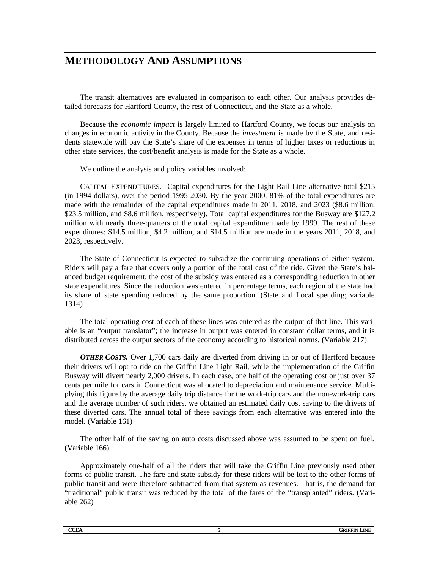## **METHODOLOGY AND ASSUMPTIONS**

The transit alternatives are evaluated in comparison to each other. Our analysis provides detailed forecasts for Hartford County, the rest of Connecticut, and the State as a whole.

Because the *economic impact* is largely limited to Hartford County, we focus our analysis on changes in economic activity in the County. Because the *investment* is made by the State, and residents statewide will pay the State's share of the expenses in terms of higher taxes or reductions in other state services, the cost/benefit analysis is made for the State as a whole.

We outline the analysis and policy variables involved:

CAPITAL EXPENDITURES. Capital expenditures for the Light Rail Line alternative total \$215 (in 1994 dollars), over the period 1995-2030. By the year 2000, 81% of the total expenditures are made with the remainder of the capital expenditures made in 2011, 2018, and 2023 (\$8.6 million, \$23.5 million, and \$8.6 million, respectively). Total capital expenditures for the Busway are \$127.2 million with nearly three-quarters of the total capital expenditure made by 1999. The rest of these expenditures: \$14.5 million, \$4.2 million, and \$14.5 million are made in the years 2011, 2018, and 2023, respectively.

The State of Connecticut is expected to subsidize the continuing operations of either system. Riders will pay a fare that covers only a portion of the total cost of the ride. Given the State's balanced budget requirement, the cost of the subsidy was entered as a corresponding reduction in other state expenditures. Since the reduction was entered in percentage terms, each region of the state had its share of state spending reduced by the same proportion. (State and Local spending; variable 1314)

The total operating cost of each of these lines was entered as the output of that line. This variable is an "output translator"; the increase in output was entered in constant dollar terms, and it is distributed across the output sectors of the economy according to historical norms. (Variable 217)

*OTHER COSTS.* Over 1,700 cars daily are diverted from driving in or out of Hartford because their drivers will opt to ride on the Griffin Line Light Rail, while the implementation of the Griffin Busway will divert nearly 2,000 drivers. In each case, one half of the operating cost or just over 37 cents per mile for cars in Connecticut was allocated to depreciation and maintenance service. Multiplying this figure by the average daily trip distance for the work-trip cars and the non-work-trip cars and the average number of such riders, we obtained an estimated daily cost saving to the drivers of these diverted cars. The annual total of these savings from each alternative was entered into the model. (Variable 161)

The other half of the saving on auto costs discussed above was assumed to be spent on fuel. (Variable 166)

Approximately one-half of all the riders that will take the Griffin Line previously used other forms of public transit. The fare and state subsidy for these riders will be lost to the other forms of public transit and were therefore subtracted from that system as revenues. That is, the demand for "traditional" public transit was reduced by the total of the fares of the "transplanted" riders. (Variable 262)

| <b>CCEA</b><br>INE<br>GRIF<br>. |
|---------------------------------|
|                                 |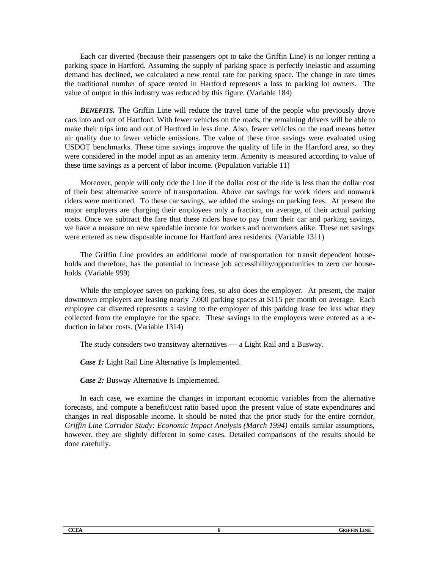Each car diverted (because their passengers opt to take the Griffin Line) is no longer renting a parking space in Hartford. Assuming the supply of parking space is perfectly inelastic and assuming demand has declined, we calculated a new rental rate for parking space. The change in rate times the traditional number of space rented in Hartford represents a loss to parking lot owners. The value of output in this industry was reduced by this figure. (Variable 184)

*BENEFITS.* The Griffin Line will reduce the travel time of the people who previously drove cars into and out of Hartford. With fewer vehicles on the roads, the remaining drivers will be able to make their trips into and out of Hartford in less time. Also, fewer vehicles on the road means better air quality due to fewer vehicle emissions. The value of these time savings were evaluated using USDOT benchmarks. These time savings improve the quality of life in the Hartford area, so they were considered in the model input as an amenity term. Amenity is measured according to value of these time savings as a percent of labor income. (Population variable 11)

Moreover, people will only ride the Line if the dollar cost of the ride is less than the dollar cost of their best alternative source of transportation. Above car savings for work riders and nonwork riders were mentioned. To these car savings, we added the savings on parking fees. At present the major employers are charging their employees only a fraction, on average, of their actual parking costs. Once we subtract the fare that these riders have to pay from their car and parking savings, we have a measure on new spendable income for workers and nonworkers alike. These net savings were entered as new disposable income for Hartford area residents. (Variable 1311)

The Griffin Line provides an additional mode of transportation for transit dependent households and therefore, has the potential to increase job accessibility/opportunities to zero car households. (Variable 999)

While the employee saves on parking fees, so also does the employer. At present, the major downtown employers are leasing nearly 7,000 parking spaces at \$115 per month on average. Each employee car diverted represents a saving to the employer of this parking lease fee less what they collected from the employee for the space. These savings to the employers were entered as a reduction in labor costs. (Variable 1314)

The study considers two transitway alternatives — a Light Rail and a Busway.

*Case 1:* Light Rail Line Alternative Is Implemented.

*Case 2:* Busway Alternative Is Implemented.

In each case, we examine the changes in important economic variables from the alternative forecasts, and compute a benefit/cost ratio based upon the present value of state expenditures and changes in real disposable income. It should be noted that the prior study for the entire corridor, *Griffin Line Corridor Study: Economic Impact Analysis (March 1994)* entails similar assumptions, however, they are slightly different in some cases. Detailed comparisons of the results should be done carefully.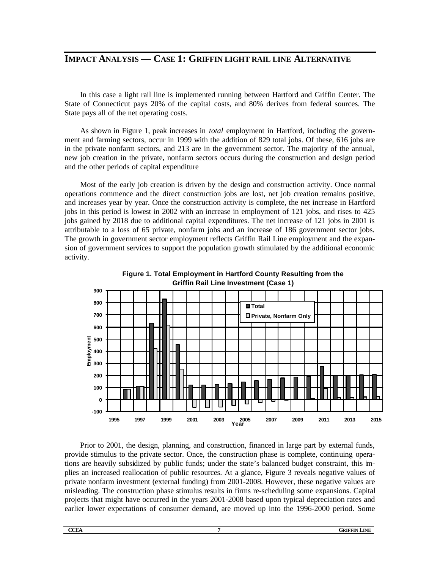### **IMPACT ANALYSIS — CASE 1: GRIFFIN LIGHT RAIL LINE ALTERNATIVE**

In this case a light rail line is implemented running between Hartford and Griffin Center. The State of Connecticut pays 20% of the capital costs, and 80% derives from federal sources. The State pays all of the net operating costs.

As shown in Figure 1, peak increases in *total* employment in Hartford, including the government and farming sectors, occur in 1999 with the addition of 829 total jobs. Of these, 616 jobs are in the private nonfarm sectors, and 213 are in the government sector. The majority of the annual, new job creation in the private, nonfarm sectors occurs during the construction and design period and the other periods of capital expenditure

Most of the early job creation is driven by the design and construction activity. Once normal operations commence and the direct construction jobs are lost, net job creation remains positive, and increases year by year. Once the construction activity is complete, the net increase in Hartford jobs in this period is lowest in 2002 with an increase in employment of 121 jobs, and rises to 425 jobs gained by 2018 due to additional capital expenditures. The net increase of 121 jobs in 2001 is attributable to a loss of 65 private, nonfarm jobs and an increase of 186 government sector jobs. The growth in government sector employment reflects Griffin Rail Line employment and the expansion of government services to support the population growth stimulated by the additional economic activity.



**Figure 1. Total Employment in Hartford County Resulting from the** 

Prior to 2001, the design, planning, and construction, financed in large part by external funds, provide stimulus to the private sector. Once, the construction phase is complete, continuing operations are heavily subsidized by public funds; under the state's balanced budget constraint, this implies an increased reallocation of public resources. At a glance, Figure 3 reveals negative values of private nonfarm investment (external funding) from 2001-2008. However, these negative values are misleading. The construction phase stimulus results in firms re-scheduling some expansions. Capital projects that might have occurred in the years 2001-2008 based upon typical depreciation rates and earlier lower expectations of consumer demand, are moved up into the 1996-2000 period. Some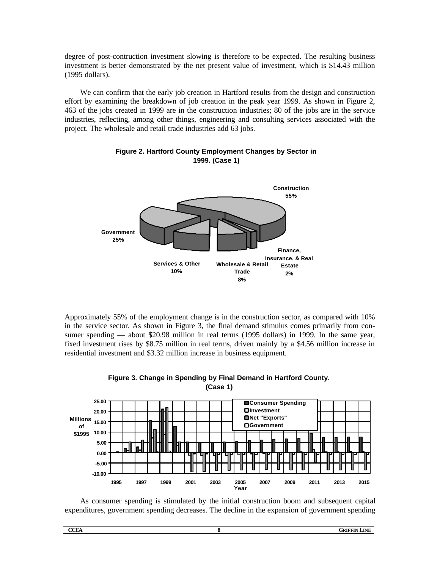degree of post-contruction investment slowing is therefore to be expected. The resulting business investment is better demonstrated by the net present value of investment, which is \$14.43 million (1995 dollars).

We can confirm that the early job creation in Hartford results from the design and construction effort by examining the breakdown of job creation in the peak year 1999. As shown in Figure 2, 463 of the jobs created in 1999 are in the construction industries; 80 of the jobs are in the service industries, reflecting, among other things, engineering and consulting services associated with the project. The wholesale and retail trade industries add 63 jobs.



#### **Figure 2. Hartford County Employment Changes by Sector in 1999. (Case 1)**

Approximately 55% of the employment change is in the construction sector, as compared with 10% in the service sector. As shown in Figure 3, the final demand stimulus comes primarily from consumer spending — about \$20.98 million in real terms (1995 dollars) in 1999. In the same year, fixed investment rises by \$8.75 million in real terms, driven mainly by a \$4.56 million increase in residential investment and \$3.32 million increase in business equipment.



#### **Figure 3. Change in Spending by Final Demand in Hartford County. (Case 1)**

As consumer spending is stimulated by the initial construction boom and subsequent capital expenditures, government spending decreases. The decline in the expansion of government spending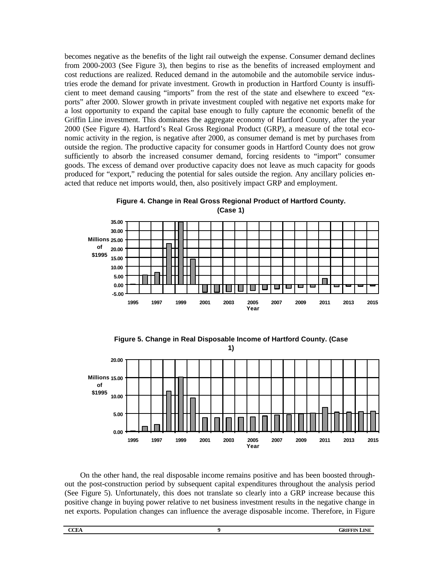becomes negative as the benefits of the light rail outweigh the expense. Consumer demand declines from 2000-2003 (See Figure 3), then begins to rise as the benefits of increased employment and cost reductions are realized. Reduced demand in the automobile and the automobile service industries erode the demand for private investment. Growth in production in Hartford County is insufficient to meet demand causing "imports" from the rest of the state and elsewhere to exceed "exports" after 2000. Slower growth in private investment coupled with negative net exports make for a lost opportunity to expand the capital base enough to fully capture the economic benefit of the Griffin Line investment. This dominates the aggregate economy of Hartford County, after the year 2000 (See Figure 4). Hartford's Real Gross Regional Product (GRP), a measure of the total economic activity in the region, is negative after 2000, as consumer demand is met by purchases from outside the region. The productive capacity for consumer goods in Hartford County does not grow sufficiently to absorb the increased consumer demand, forcing residents to "import" consumer goods. The excess of demand over productive capacity does not leave as much capacity for goods produced for "export," reducing the potential for sales outside the region. Any ancillary policies enacted that reduce net imports would, then, also positively impact GRP and employment.



**Figure 4. Change in Real Gross Regional Product of Hartford County. (Case 1)**

**Figure 5. Change in Real Disposable Income of Hartford County. (Case** 



On the other hand, the real disposable income remains positive and has been boosted throughout the post-construction period by subsequent capital expenditures throughout the analysis period (See Figure 5). Unfortunately, this does not translate so clearly into a GRP increase because this positive change in buying power relative to net business investment results in the negative change in net exports. Population changes can influence the average disposable income. Therefore, in Figure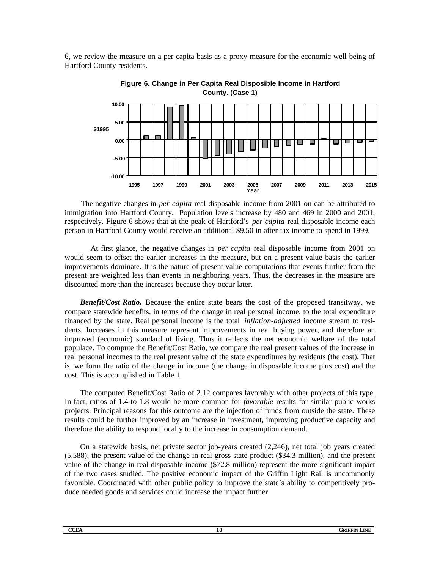6, we review the measure on a per capita basis as a proxy measure for the economic well-being of Hartford County residents.



**Figure 6. Change in Per Capita Real Disposible Income in Hartford County. (Case 1)**

The negative changes in *per capita* real disposable income from 2001 on can be attributed to immigration into Hartford County. Population levels increase by 480 and 469 in 2000 and 2001, respectively. Figure 6 shows that at the peak of Hartford's *per capita* real disposable income each person in Hartford County would receive an additional \$9.50 in after-tax income to spend in 1999.

At first glance, the negative changes in *per capita* real disposable income from 2001 on would seem to offset the earlier increases in the measure, but on a present value basis the earlier improvements dominate. It is the nature of present value computations that events further from the present are weighted less than events in neighboring years. Thus, the decreases in the measure are discounted more than the increases because they occur later.

*Benefit/Cost Ratio.* Because the entire state bears the cost of the proposed transitway, we compare statewide benefits, in terms of the change in real personal income, to the total expenditure financed by the state. Real personal income is the total *inflation-adjusted* income stream to residents. Increases in this measure represent improvements in real buying power, and therefore an improved (economic) standard of living. Thus it reflects the net economic welfare of the total populace. To compute the Benefit/Cost Ratio, we compare the real present values of the increase in real personal incomes to the real present value of the state expenditures by residents (the cost). That is, we form the ratio of the change in income (the change in disposable income plus cost) and the cost. This is accomplished in Table 1.

The computed Benefit/Cost Ratio of 2.12 compares favorably with other projects of this type. In fact, ratios of 1.4 to 1.8 would be more common for *favorable* results for similar public works projects. Principal reasons for this outcome are the injection of funds from outside the state. These results could be further improved by an increase in investment, improving productive capacity and therefore the ability to respond locally to the increase in consumption demand.

On a statewide basis, net private sector job-years created (2,246), net total job years created (5,588), the present value of the change in real gross state product (\$34.3 million), and the present value of the change in real disposable income (\$72.8 million) represent the more significant impact of the two cases studied. The positive economic impact of the Griffin Light Rail is uncommonly favorable. Coordinated with other public policy to improve the state's ability to competitively produce needed goods and services could increase the impact further.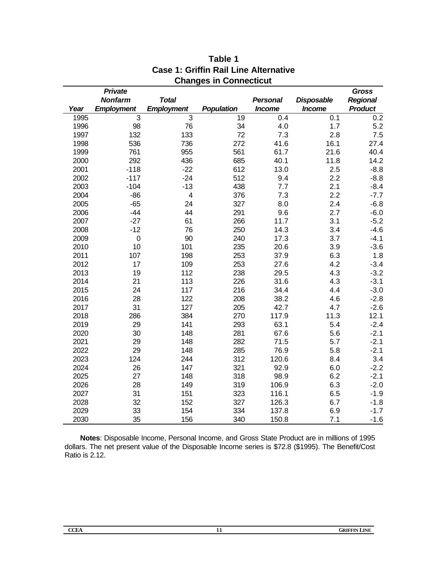|      | <b>Private</b>    |                         |                   |                 |                   | <b>Gross</b>    |
|------|-------------------|-------------------------|-------------------|-----------------|-------------------|-----------------|
|      | <b>Nonfarm</b>    | <b>Total</b>            |                   | <b>Personal</b> | <b>Disposable</b> | <b>Regional</b> |
| Year | <b>Employment</b> | <b>Employment</b>       | <b>Population</b> | <b>Income</b>   | <b>Income</b>     | <b>Product</b>  |
| 1995 | $\overline{3}$    | 3                       | 19                | 0.4             | 0.1               | 0.2             |
| 1996 | 98                | 76                      | 34                | 4.0             | 1.7               | 5.2             |
| 1997 | 132               | 133                     | 72                | 7.3             | 2.8               | 7.5             |
| 1998 | 536               | 736                     | 272               | 41.6            | 16.1              | 27.4            |
| 1999 | 761               | 955                     | 561               | 61.7            | 21.6              | 40.4            |
| 2000 | 292               | 436                     | 685               | 40.1            | 11.8              | 14.2            |
| 2001 | $-118$            | $-22$                   | 612               | 13.0            | 2.5               | $-8.8$          |
| 2002 | $-117$            | $-24$                   | 512               | 9.4             | 2.2               | $-8.8$          |
| 2003 | $-104$            | $-13$                   | 438               | 7.7             | 2.1               | $-8.4$          |
| 2004 | $-86$             | $\overline{\mathbf{4}}$ | 376               | 7.3             | 2.2               | $-7.7$          |
| 2005 | $-65$             | 24                      | 327               | 8.0             | 2.4               | $-6.8$          |
| 2006 | $-44$             | 44                      | 291               | 9.6             | 2.7               | $-6.0$          |
| 2007 | $-27$             | 61                      | 266               | 11.7            | 3.1               | $-5.2$          |
| 2008 | $-12$             | 76                      | 250               | 14.3            | 3.4               | $-4.6$          |
| 2009 | $\pmb{0}$         | 90                      | 240               | 17.3            | 3.7               | $-4.1$          |
| 2010 | 10                | 101                     | 235               | 20.6            | 3.9               | $-3.6$          |
| 2011 | 107               | 198                     | 253               | 37.9            | 6.3               | 1.8             |
| 2012 | 17                | 109                     | 253               | 27.6            | 4.2               | $-3.4$          |
| 2013 | 19                | 112                     | 238               | 29.5            | 4.3               | $-3.2$          |
| 2014 | 21                | 113                     | 226               | 31.6            | 4.3               | $-3.1$          |
| 2015 | 24                | 117                     | 216               | 34.4            | 4.4               | $-3.0$          |
| 2016 | 28                | 122                     | 208               | 38.2            | 4.6               | $-2.8$          |
| 2017 | 31                | 127                     | 205               | 42.7            | 4.7               | $-2.6$          |
| 2018 | 286               | 384                     | 270               | 117.9           | 11.3              | 12.1            |
| 2019 | 29                | 141                     | 293               | 63.1            | 5.4               | $-2.4$          |
| 2020 | 30                | 148                     | 281               | 67.6            | 5.6               | $-2.1$          |
| 2021 | 29                | 148                     | 282               | 71.5            | 5.7               | $-2.1$          |
| 2022 | 29                | 148                     | 285               | 76.9            | 5.8               | $-2.1$          |
| 2023 | 124               | 244                     | 312               | 120.6           | 8.4               | 3.4             |
| 2024 | 26                | 147                     | 321               | 92.9            | 6.0               | $-2.2$          |
| 2025 | 27                | 148                     | 318               | 98.9            | 6.2               | $-2.1$          |
| 2026 | 28                | 149                     | 319               | 106.9           | 6.3               | $-2.0$          |
| 2027 | 31                | 151                     | 323               | 116.1           | 6.5               | $-1.9$          |
| 2028 | 32                | 152                     | 327               | 126.3           | 6.7               | $-1.8$          |
| 2029 | 33                | 154                     | 334               | 137.8           | 6.9               | $-1.7$          |
| 2030 | 35                | 156                     | 340               | 150.8           | 7.1               | $-1.6$          |

### **Table 1 Case 1: Griffin Rail Line Alternative Changes in Connecticut**

**Notes**: Disposable Income, Personal Income, and Gross State Product are in millions of 1995 dollars. The net present value of the Disposable Income series is \$72.8 (\$1995). The Benefit/Cost Ratio is 2.12.

| M.<br>×<br>I<br>I |
|-------------------|
|-------------------|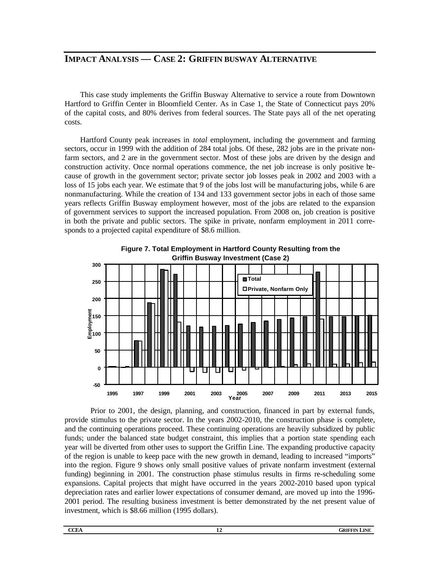## **IMPACT ANALYSIS — CASE 2: GRIFFIN BUSWAY ALTERNATIVE**

This case study implements the Griffin Busway Alternative to service a route from Downtown Hartford to Griffin Center in Bloomfield Center. As in Case 1, the State of Connecticut pays 20% of the capital costs, and 80% derives from federal sources. The State pays all of the net operating costs.

Hartford County peak increases in *total* employment, including the government and farming sectors, occur in 1999 with the addition of 284 total jobs. Of these, 282 jobs are in the private nonfarm sectors, and 2 are in the government sector. Most of these jobs are driven by the design and construction activity. Once normal operations commence, the net job increase is only positive because of growth in the government sector; private sector job losses peak in 2002 and 2003 with a loss of 15 jobs each year. We estimate that 9 of the jobs lost will be manufacturing jobs, while 6 are nonmanufacturing. While the creation of 134 and 133 government sector jobs in each of those same years reflects Griffin Busway employment however, most of the jobs are related to the expansion of government services to support the increased population. From 2008 on, job creation is positive in both the private and public sectors. The spike in private, nonfarm employment in 2011 corresponds to a projected capital expenditure of \$8.6 million.



**Figure 7. Total Employment in Hartford County Resulting from the Griffin Busway Investment (Case 2)**

Prior to 2001, the design, planning, and construction, financed in part by external funds, provide stimulus to the private sector. In the years 2002-2010, the construction phase is complete, and the continuing operations proceed. These continuing operations are heavily subsidized by public funds; under the balanced state budget constraint, this implies that a portion state spending each year will be diverted from other uses to support the Griffin Line. The expanding productive capacity of the region is unable to keep pace with the new growth in demand, leading to increased "imports" into the region. Figure 9 shows only small positive values of private nonfarm investment (external funding) beginning in 2001. The construction phase stimulus results in firms re-scheduling some expansions. Capital projects that might have occurred in the years 2002-2010 based upon typical depreciation rates and earlier lower expectations of consumer demand, are moved up into the 1996- 2001 period. The resulting business investment is better demonstrated by the net present value of investment, which is \$8.66 million (1995 dollars).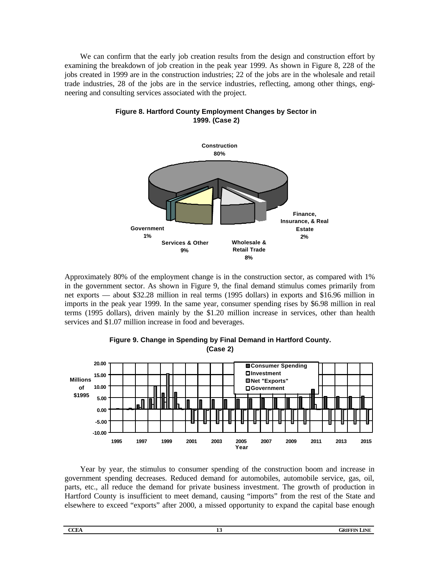We can confirm that the early job creation results from the design and construction effort by examining the breakdown of job creation in the peak year 1999. As shown in Figure 8, 228 of the jobs created in 1999 are in the construction industries; 22 of the jobs are in the wholesale and retail trade industries, 28 of the jobs are in the service industries, reflecting, among other things, engineering and consulting services associated with the project.



**Figure 8. Hartford County Employment Changes by Sector in 1999. (Case 2)**

Approximately 80% of the employment change is in the construction sector, as compared with 1% in the government sector. As shown in Figure 9, the final demand stimulus comes primarily from net exports — about \$32.28 million in real terms (1995 dollars) in exports and \$16.96 million in imports in the peak year 1999. In the same year, consumer spending rises by \$6.98 million in real terms (1995 dollars), driven mainly by the \$1.20 million increase in services, other than health services and \$1.07 million increase in food and beverages.



#### **Figure 9. Change in Spending by Final Demand in Hartford County. (Case 2)**

Year by year, the stimulus to consumer spending of the construction boom and increase in government spending decreases. Reduced demand for automobiles, automobile service, gas, oil, parts, etc., all reduce the demand for private business investment. The growth of production in Hartford County is insufficient to meet demand, causing "imports" from the rest of the State and elsewhere to exceed "exports" after 2000, a missed opportunity to expand the capital base enough

| M.<br>×<br>٠<br>I |
|-------------------|
|                   |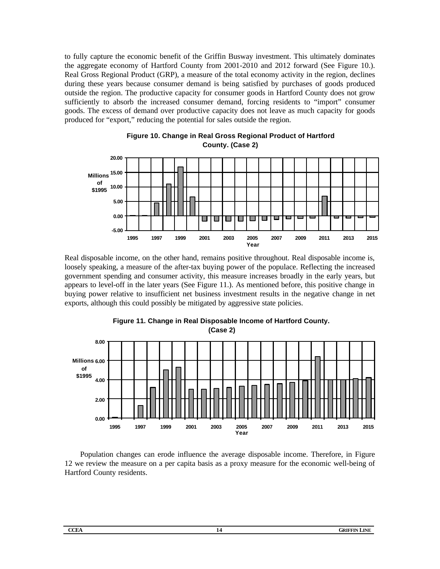to fully capture the economic benefit of the Griffin Busway investment. This ultimately dominates the aggregate economy of Hartford County from 2001-2010 and 2012 forward (See Figure 10.). Real Gross Regional Product (GRP), a measure of the total economy activity in the region, declines during these years because consumer demand is being satisfied by purchases of goods produced outside the region. The productive capacity for consumer goods in Hartford County does not grow sufficiently to absorb the increased consumer demand, forcing residents to "import" consumer goods. The excess of demand over productive capacity does not leave as much capacity for goods produced for "export," reducing the potential for sales outside the region.





Real disposable income, on the other hand, remains positive throughout. Real disposable income is, loosely speaking, a measure of the after-tax buying power of the populace. Reflecting the increased government spending and consumer activity, this measure increases broadly in the early years, but appears to level-off in the later years (See Figure 11.). As mentioned before, this positive change in buying power relative to insufficient net business investment results in the negative change in net exports, although this could possibly be mitigated by aggressive state policies.



**Figure 11. Change in Real Disposable Income of Hartford County. (Case 2)**

Population changes can erode influence the average disposable income. Therefore, in Figure 12 we review the measure on a per capita basis as a proxy measure for the economic well-being of Hartford County residents.

| ×<br>M.<br>×<br>٠<br>۰, |  |
|-------------------------|--|
|                         |  |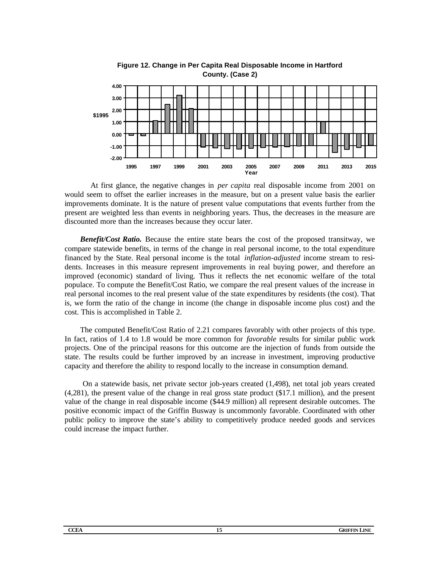

**Figure 12. Change in Per Capita Real Disposable Income in Hartford County. (Case 2)**

At first glance, the negative changes in *per capita* real disposable income from 2001 on would seem to offset the earlier increases in the measure, but on a present value basis the earlier improvements dominate. It is the nature of present value computations that events further from the present are weighted less than events in neighboring years. Thus, the decreases in the measure are discounted more than the increases because they occur later.

*Benefit/Cost Ratio.* Because the entire state bears the cost of the proposed transitway, we compare statewide benefits, in terms of the change in real personal income, to the total expenditure financed by the State. Real personal income is the total *inflation-adjusted* income stream to residents. Increases in this measure represent improvements in real buying power, and therefore an improved (economic) standard of living. Thus it reflects the net economic welfare of the total populace. To compute the Benefit/Cost Ratio, we compare the real present values of the increase in real personal incomes to the real present value of the state expenditures by residents (the cost). That is, we form the ratio of the change in income (the change in disposable income plus cost) and the cost. This is accomplished in Table 2.

The computed Benefit/Cost Ratio of 2.21 compares favorably with other projects of this type. In fact, ratios of 1.4 to 1.8 would be more common for *favorable* results for similar public work projects. One of the principal reasons for this outcome are the injection of funds from outside the state. The results could be further improved by an increase in investment, improving productive capacity and therefore the ability to respond locally to the increase in consumption demand.

 On a statewide basis, net private sector job-years created (1,498), net total job years created (4,281), the present value of the change in real gross state product (\$17.1 million), and the present value of the change in real disposable income (\$44.9 million) all represent desirable outcomes. The positive economic impact of the Griffin Busway is uncommonly favorable. Coordinated with other public policy to improve the state's ability to competitively produce needed goods and services could increase the impact further.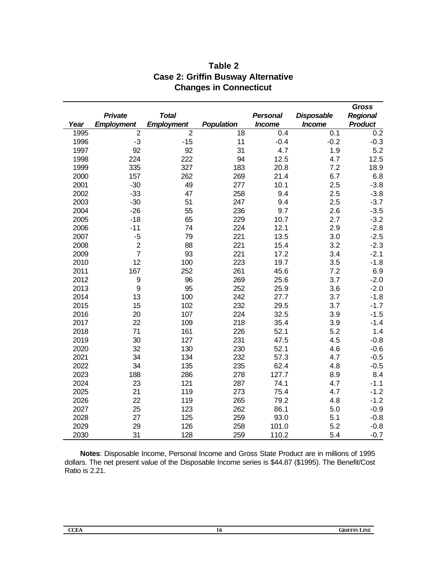|      |                   |                   |                   |                 |                   | Gross           |
|------|-------------------|-------------------|-------------------|-----------------|-------------------|-----------------|
|      | <b>Private</b>    | <b>Total</b>      |                   | <b>Personal</b> | <b>Disposable</b> | <b>Regional</b> |
| Year | <b>Employment</b> | <b>Employment</b> | <b>Population</b> | <b>Income</b>   | <b>Income</b>     | <b>Product</b>  |
| 1995 | $\overline{2}$    | $\overline{2}$    | 18                | 0.4             | 0.1               | 0.2             |
| 1996 | $-3$              | $-15$             | 11                | $-0.4$          | $-0.2$            | $-0.3$          |
| 1997 | 92                | 92                | 31                | 4.7             | 1.9               | 5.2             |
| 1998 | 224               | 222               | 94                | 12.5            | 4.7               | 12.5            |
| 1999 | 335               | 327               | 183               | 20.8            | 7.2               | 18.9            |
| 2000 | 157               | 262               | 269               | 21.4            | 6.7               | 6.8             |
| 2001 | $-30$             | 49                | 277               | 10.1            | 2.5               | $-3.8$          |
| 2002 | $-33$             | 47                | 258               | 9.4             | 2.5               | $-3.8$          |
| 2003 | $-30$             | 51                | 247               | 9.4             | 2.5               | $-3.7$          |
| 2004 | $-26$             | 55                | 236               | 9.7             | 2.6               | $-3.5$          |
| 2005 | $-18$             | 65                | 229               | 10.7            | 2.7               | $-3.2$          |
| 2006 | $-11$             | 74                | 224               | 12.1            | 2.9               | $-2.8$          |
| 2007 | $-5$              | 79                | 221               | 13.5            | 3.0               | $-2.5$          |
| 2008 | $\overline{2}$    | 88                | 221               | 15.4            | 3.2               | $-2.3$          |
| 2009 | $\overline{7}$    | 93                | 221               | 17.2            | 3.4               | $-2.1$          |
| 2010 | 12                | 100               | 223               | 19.7            | 3.5               | $-1.8$          |
| 2011 | 167               | 252               | 261               | 45.6            | 7.2               | 6.9             |
| 2012 | 9                 | 96                | 269               | 25.6            | 3.7               | $-2.0$          |
| 2013 | 9                 | 95                | 252               | 25.9            | 3.6               | $-2.0$          |
| 2014 | 13                | 100               | 242               | 27.7            | 3.7               | $-1.8$          |
| 2015 | 15                | 102               | 232               | 29.5            | 3.7               | $-1.7$          |
| 2016 | 20                | 107               | 224               | 32.5            | 3.9               | $-1.5$          |
| 2017 | 22                | 109               | 218               | 35.4            | 3.9               | $-1.4$          |
| 2018 | 71                | 161               | 226               | 52.1            | 5.2               | 1.4             |
| 2019 | 30                | 127               | 231               | 47.5            | 4.5               | $-0.8$          |
| 2020 | 32                | 130               | 230               | 52.1            | 4.6               | $-0.6$          |
| 2021 | 34                | 134               | 232               | 57.3            | 4.7               | $-0.5$          |
| 2022 | 34                | 135               | 235               | 62.4            | 4.8               | $-0.5$          |
| 2023 | 188               | 286               | 278               | 127.7           | 8.9               | 8.4             |
| 2024 | 23                | 121               | 287               | 74.1            | 4.7               | $-1.1$          |
| 2025 | 21                | 119               | 273               | 75.4            | 4.7               | $-1.2$          |
| 2026 | 22                | 119               | 265               | 79.2            | 4.8               | $-1.2$          |
| 2027 | 25                | 123               | 262               | 86.1            | 5.0               | $-0.9$          |
| 2028 | 27                | 125               | 259               | 93.0            | 5.1               | $-0.8$          |
| 2029 | 29                | 126               | 258               | 101.0           | 5.2               | $-0.8$          |
| 2030 | 31                | 128               | 259               | 110.2           | 5.4               | $-0.7$          |

## **Table 2 Case 2: Griffin Busway Alternative Changes in Connecticut**

**Notes**: Disposable Income, Personal Income and Gross State Product are in millions of 1995 dollars. The net present value of the Disposable Income series is \$44.87 (\$1995). The Benefit/Cost Ratio is 2.21.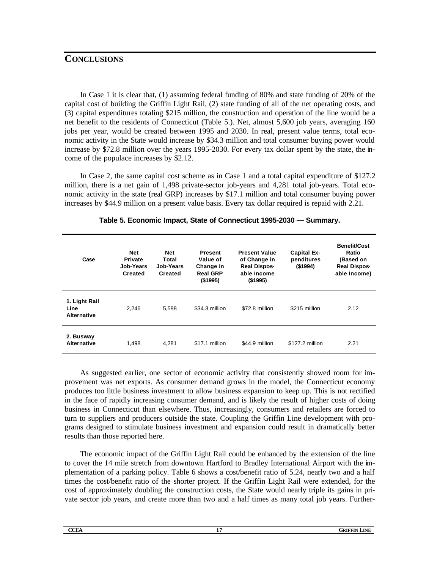### **CONCLUSIONS**

In Case 1 it is clear that, (1) assuming federal funding of 80% and state funding of 20% of the capital cost of building the Griffin Light Rail, (2) state funding of all of the net operating costs, and (3) capital expenditures totaling \$215 million, the construction and operation of the line would be a net benefit to the residents of Connecticut (Table 5.). Net, almost 5,600 job years, averaging 160 jobs per year, would be created between 1995 and 2030. In real, present value terms, total economic activity in the State would increase by \$34.3 million and total consumer buying power would increase by \$72.8 million over the years 1995-2030. For every tax dollar spent by the state, the income of the populace increases by \$2.12.

In Case 2, the same capital cost scheme as in Case 1 and a total capital expenditure of \$127.2 million, there is a net gain of 1,498 private-sector job-years and 4,281 total job-years. Total economic activity in the state (real GRP) increases by \$17.1 million and total consumer buying power increases by \$44.9 million on a present value basis. Every tax dollar required is repaid with 2.21.

| Case                                        | <b>Net</b><br><b>Private</b><br><b>Job-Years</b><br><b>Created</b> | <b>Net</b><br>Total<br>Job-Years<br>Created | <b>Present</b><br>Value of<br>Change in<br><b>Real GRP</b><br>(\$1995) | <b>Present Value</b><br>of Change in<br><b>Real Dispos-</b><br>able Income<br>(\$1995) | <b>Capital Ex-</b><br>penditures<br>(\$1994) | <b>Benefit/Cost</b><br>Ratio<br>(Based on<br><b>Real Dispos-</b><br>able Income) |
|---------------------------------------------|--------------------------------------------------------------------|---------------------------------------------|------------------------------------------------------------------------|----------------------------------------------------------------------------------------|----------------------------------------------|----------------------------------------------------------------------------------|
| 1. Light Rail<br>Line<br><b>Alternative</b> | 2,246                                                              | 5.588                                       | \$34.3 million                                                         | \$72.8 million                                                                         | \$215 million                                | 2.12                                                                             |
| 2. Busway<br><b>Alternative</b>             | 1,498                                                              | 4.281                                       | \$17.1 million                                                         | \$44.9 million                                                                         | \$127.2 million                              | 2.21                                                                             |

#### **Table 5. Economic Impact, State of Connecticut 1995-2030 — Summary.**

As suggested earlier, one sector of economic activity that consistently showed room for improvement was net exports. As consumer demand grows in the model, the Connecticut economy produces too little business investment to allow business expansion to keep up. This is not rectified in the face of rapidly increasing consumer demand, and is likely the result of higher costs of doing business in Connecticut than elsewhere. Thus, increasingly, consumers and retailers are forced to turn to suppliers and producers outside the state. Coupling the Griffin Line development with programs designed to stimulate business investment and expansion could result in dramatically better results than those reported here.

The economic impact of the Griffin Light Rail could be enhanced by the extension of the line to cover the 14 mile stretch from downtown Hartford to Bradley International Airport with the implementation of a parking policy. Table 6 shows a cost/benefit ratio of 5.24, nearly two and a half times the cost/benefit ratio of the shorter project. If the Griffin Light Rail were extended, for the cost of approximately doubling the construction costs, the State would nearly triple its gains in private sector job years, and create more than two and a half times as many total job years. Further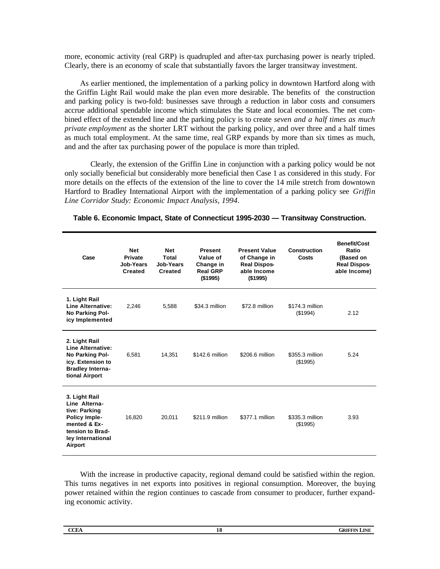more, economic activity (real GRP) is quadrupled and after-tax purchasing power is nearly tripled. Clearly, there is an economy of scale that substantially favors the larger transitway investment.

As earlier mentioned, the implementation of a parking policy in downtown Hartford along with the Griffin Light Rail would make the plan even more desirable. The benefits of the construction and parking policy is two-fold: businesses save through a reduction in labor costs and consumers accrue additional spendable income which stimulates the State and local economies. The net combined effect of the extended line and the parking policy is to create *seven and a half times as much private employment* as the shorter LRT without the parking policy, and over three and a half times as much total employment. At the same time, real GRP expands by more than six times as much, and and the after tax purchasing power of the populace is more than tripled.

Clearly, the extension of the Griffin Line in conjunction with a parking policy would be not only socially beneficial but considerably more beneficial then Case 1 as considered in this study. For more details on the effects of the extension of the line to cover the 14 mile stretch from downtown Hartford to Bradley International Airport with the implementation of a parking policy see *Griffin Line Corridor Study: Economic Impact Analysis, 1994*.

| Case                                                                                                                                        | <b>Net</b><br><b>Private</b><br>Job-Years<br><b>Created</b> | <b>Net</b><br>Total<br>Job-Years<br><b>Created</b> | <b>Present</b><br>Value of<br>Change in<br><b>Real GRP</b><br>(\$1995) | <b>Present Value</b><br>of Change in<br><b>Real Dispos-</b><br>able Income<br>$($ \$1995) | <b>Construction</b><br>Costs | <b>Benefit/Cost</b><br>Ratio<br>(Based on<br><b>Real Dispos-</b><br>able Income) |
|---------------------------------------------------------------------------------------------------------------------------------------------|-------------------------------------------------------------|----------------------------------------------------|------------------------------------------------------------------------|-------------------------------------------------------------------------------------------|------------------------------|----------------------------------------------------------------------------------|
| 1. Light Rail<br><b>Line Alternative:</b><br>No Parking Pol-<br>icy Implemented                                                             | 2,246                                                       | 5,588                                              | \$34.3 million                                                         | \$72.8 million                                                                            | \$174.3 million<br>(\$1994)  | 2.12                                                                             |
| 2. Light Rail<br>Line Alternative:<br>No Parking Pol-<br>icy. Extension to<br><b>Bradley Interna-</b><br>tional Airport                     | 6,581                                                       | 14,351                                             | \$142.6 million                                                        | \$206.6 million                                                                           | \$355.3 million<br>(\$1995)  | 5.24                                                                             |
| 3. Light Rail<br>Line Alterna-<br>tive: Parking<br><b>Policy Imple-</b><br>mented & Ex-<br>tension to Brad-<br>ley International<br>Airport | 16,820                                                      | 20,011                                             | \$211.9 million                                                        | \$377.1 million                                                                           | \$335.3 million<br>(\$1995)  | 3.93                                                                             |

#### **Table 6. Economic Impact, State of Connecticut 1995-2030 — Transitway Construction.**

With the increase in productive capacity, regional demand could be satisfied within the region. This turns negatives in net exports into positives in regional consumption. Moreover, the buying power retained within the region continues to cascade from consumer to producer, further expanding economic activity.

| <b>CCEA</b> | 1U<br>$\sim$ | GRIFFIN<br>LINE |
|-------------|--------------|-----------------|
|             |              |                 |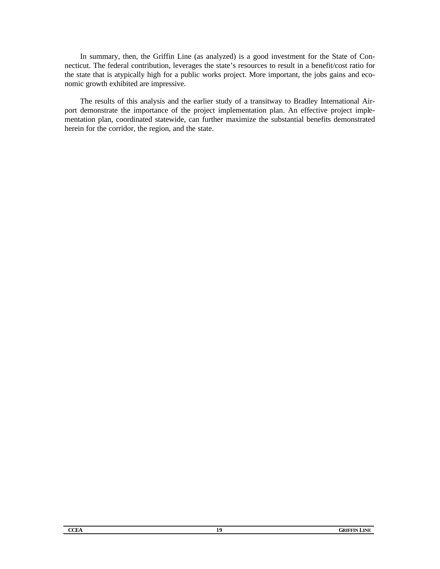In summary, then, the Griffin Line (as analyzed) is a good investment for the State of Connecticut. The federal contribution, leverages the state's resources to result in a benefit/cost ratio for the state that is atypically high for a public works project. More important, the jobs gains and economic growth exhibited are impressive.

The results of this analysis and the earlier study of a transitway to Bradley International Airport demonstrate the importance of the project implementation plan. An effective project implementation plan, coordinated statewide, can further maximize the substantial benefits demonstrated herein for the corridor, the region, and the state.